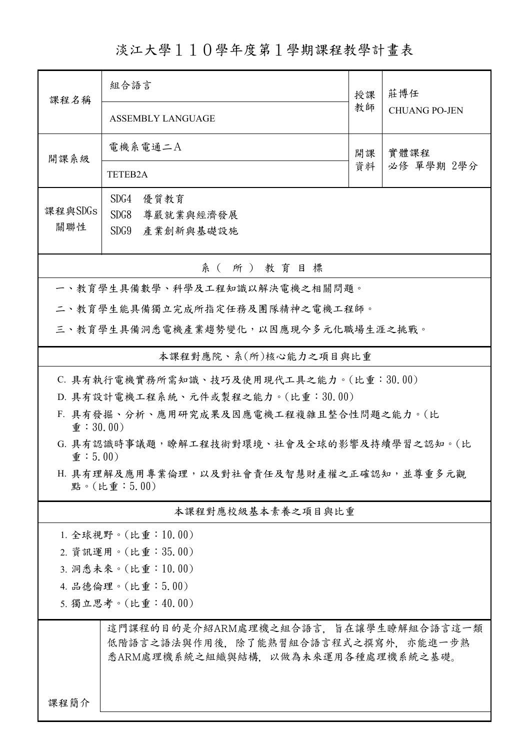## 淡江大學110學年度第1學期課程教學計畫表

| 課程名稱                                                                       | 組合語言                                                                                                             | 授課       | 莊博任                  |  |  |
|----------------------------------------------------------------------------|------------------------------------------------------------------------------------------------------------------|----------|----------------------|--|--|
|                                                                            | <b>ASSEMBLY LANGUAGE</b>                                                                                         | 教師       | <b>CHUANG PO-JEN</b> |  |  |
| 開課系級                                                                       | 電機系電通二A                                                                                                          | 開課<br>資料 | 實體課程                 |  |  |
|                                                                            | TETEB2A                                                                                                          |          | 必修 單學期 2學分           |  |  |
|                                                                            | SDG4<br>優質教育                                                                                                     |          |                      |  |  |
| 課程與SDGs<br>關聯性                                                             | SDG8<br>尊嚴就業與經濟發展                                                                                                |          |                      |  |  |
|                                                                            | SDG9<br>產業創新與基礎設施                                                                                                |          |                      |  |  |
|                                                                            | 系(所)教育目標                                                                                                         |          |                      |  |  |
|                                                                            | 一、教育學生具備數學、科學及工程知識以解決電機之相關問題。                                                                                    |          |                      |  |  |
|                                                                            | 二、教育學生能具備獨立完成所指定任務及團隊精神之電機工程師。                                                                                   |          |                      |  |  |
|                                                                            | 三、教育學生具備洞悉電機產業趨勢變化,以因應現今多元化職場生涯之挑戰。                                                                              |          |                      |  |  |
|                                                                            | 本課程對應院、系(所)核心能力之項目與比重                                                                                            |          |                      |  |  |
| C. 具有執行電機實務所需知識、技巧及使用現代工具之能力。(比重:30.00)                                    |                                                                                                                  |          |                      |  |  |
| D. 具有設計電機工程系統、元件或製程之能力。(比重:30.00)                                          |                                                                                                                  |          |                      |  |  |
| F. 具有發掘、分析、應用研究成果及因應電機工程複雜且整合性問題之能力。(比<br>$\hat{\mathbf{\Psi}}$ : 30.00)   |                                                                                                                  |          |                      |  |  |
| G. 具有認識時事議題,瞭解工程技術對環境、社會及全球的影響及持續學習之認知。(比<br>$\hat{\mathbf{\Psi}}$ : 5.00) |                                                                                                                  |          |                      |  |  |
| H. 具有理解及應用專業倫理,以及對社會責任及智慧財產權之正確認知,並尊重多元觀<br>點。(比重:5.00)                    |                                                                                                                  |          |                      |  |  |
|                                                                            | 本課程對應校級基本素養之項目與比重                                                                                                |          |                      |  |  |
|                                                                            | $1.$ 全球視野。(比重:10.00)                                                                                             |          |                      |  |  |
| 2. 資訊運用。(比重:35.00)                                                         |                                                                                                                  |          |                      |  |  |
| 3. 洞悉未來。(比重:10.00)                                                         |                                                                                                                  |          |                      |  |  |
| 4. 品德倫理。(比重:5.00)                                                          |                                                                                                                  |          |                      |  |  |
| 5. 獨立思考。(比重:40.00)                                                         |                                                                                                                  |          |                      |  |  |
|                                                                            | 這門課程的目的是介紹ARM處理機之組合語言,旨在讓學生瞭解組合語言這一類<br>低階語言之語法與作用後,除了能熟習組合語言程式之撰寫外,亦能進一步熟<br>悉ARM處理機系統之組織與結構,以做為未來運用各種處理機系統之基礎。 |          |                      |  |  |
| 课程简介                                                                       |                                                                                                                  |          |                      |  |  |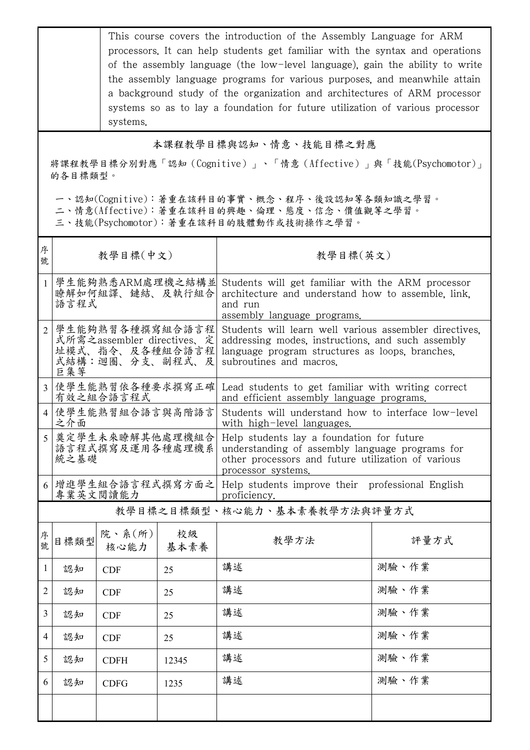This course covers the introduction of the Assembly Language for ARM processors. It can help students get familiar with the syntax and operations of the assembly language (the low-level language), gain the ability to write the assembly language programs for various purposes, and meanwhile attain a background study of the organization and architectures of ARM processor systems so as to lay a foundation for future utilization of various processor systems.

## 本課程教學目標與認知、情意、技能目標之對應

將課程教學目標分別對應「認知(Cognitive)」、「情意(Affective)」與「技能(Psychomotor)」 的各目標類型。

一、認知(Cognitive):著重在該科目的事實、概念、程序、後設認知等各類知識之學習。

二、情意(Affective):著重在該科目的興趣、倫理、態度、信念、價值觀等之學習。

三、技能(Psychomotor):著重在該科目的肢體動作或技術操作之學習。

| 序<br>號         | 教學目標(中文)                                                                                   |                          |            | 教學目標(英文)                                                                                                                                                                                  |       |
|----------------|--------------------------------------------------------------------------------------------|--------------------------|------------|-------------------------------------------------------------------------------------------------------------------------------------------------------------------------------------------|-------|
|                | 學生能夠熟悉ARM處理機之結構並<br>瞭解如何組譯、鏈結、及執行組合<br>語言程式                                                |                          |            | Students will get familiar with the ARM processor<br>architecture and understand how to assemble, link,<br>and run<br>assembly language programs.                                         |       |
| $\overline{2}$ | 學生能夠熟習各種撰寫組合語言程<br>式所需之assembler directives、定<br>址模式、指令、及各種組合語言程<br>式結構:迴圈、分支、副程式、及<br>巨集等 |                          |            | Students will learn well various assembler directives.<br>addressing modes, instructions, and such assembly<br>language program structures as loops, branches,<br>subroutines and macros. |       |
|                | 使學生能熟習依各種要求撰寫正確<br>有效之組合語言程式                                                               |                          |            | Lead students to get familiar with writing correct<br>and efficient assembly language programs.                                                                                           |       |
| $\overline{4}$ | 使學生能熟習組合語言與高階語言<br>之介面                                                                     |                          |            | Students will understand how to interface low-level<br>with high-level languages.                                                                                                         |       |
|                | 奠定學生未來瞭解其他處理機組合<br>語言程式撰寫及運用各種處理機系<br>統之基礎                                                 |                          |            | Help students lay a foundation for future<br>understanding of assembly language programs for<br>other processors and future utilization of various<br>processor systems.                  |       |
|                | 增進學生組合語言程式撰寫方面之<br>專業英文閱讀能力                                                                |                          |            | Help students improve their professional English<br>proficiency.                                                                                                                          |       |
|                | 教學目標之目標類型、核心能力、基本素養教學方法與評量方式                                                               |                          |            |                                                                                                                                                                                           |       |
| 序<br>號         | 目標類型                                                                                       | 院、系 $(\text{m})$<br>核心能力 | 校級<br>基本素養 | 教學方法                                                                                                                                                                                      | 評量方式  |
| 1              | 認知                                                                                         | <b>CDF</b>               | 25         | 講述                                                                                                                                                                                        | 測驗、作業 |
| 2              | 認知                                                                                         | <b>CDF</b>               | 25         | 講述                                                                                                                                                                                        | 測驗、作業 |
| 3              | 認知                                                                                         | <b>CDF</b>               | 25         | 講述                                                                                                                                                                                        | 測驗、作業 |
| 4              | 認知                                                                                         | <b>CDF</b>               | 25         | 講述                                                                                                                                                                                        | 測驗、作業 |
| 5              | 認知                                                                                         | <b>CDFH</b>              | 12345      | 講述                                                                                                                                                                                        | 測驗、作業 |
| 6              | 認知                                                                                         | <b>CDFG</b>              | 1235       | 講述                                                                                                                                                                                        | 測驗、作業 |
|                |                                                                                            |                          |            |                                                                                                                                                                                           |       |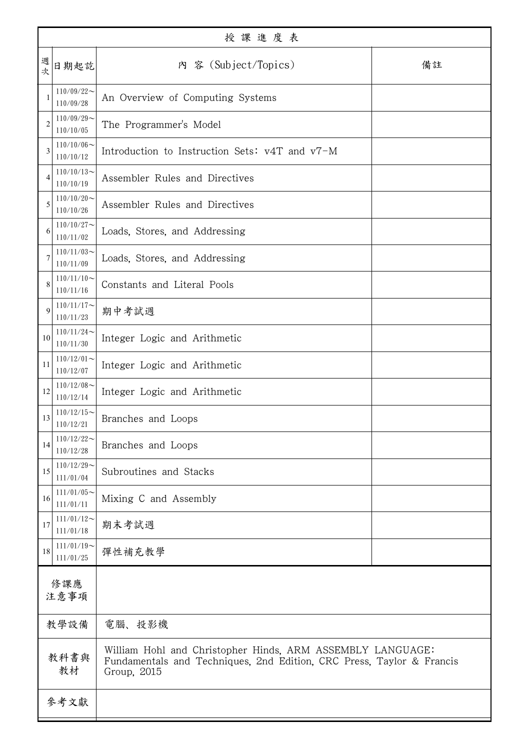| 授課進度表          |                            |                                                                                                                                                    |    |  |  |
|----------------|----------------------------|----------------------------------------------------------------------------------------------------------------------------------------------------|----|--|--|
| 週次             | 日期起訖                       | 内 容 (Subject/Topics)                                                                                                                               | 備註 |  |  |
|                | $110/09/22$ ~<br>110/09/28 | An Overview of Computing Systems                                                                                                                   |    |  |  |
| $\overline{2}$ | $110/09/29$ ~<br>110/10/05 | The Programmer's Model                                                                                                                             |    |  |  |
| 3              | $110/10/06$ ~<br>110/10/12 | Introduction to Instruction Sets: v4T and v7-M                                                                                                     |    |  |  |
| $\overline{4}$ | $110/10/13$ ~<br>110/10/19 | Assembler Rules and Directives                                                                                                                     |    |  |  |
| 5              | $110/10/20$ ~<br>110/10/26 | Assembler Rules and Directives                                                                                                                     |    |  |  |
| 6              | $110/10/27$ ~<br>110/11/02 | Loads, Stores, and Addressing                                                                                                                      |    |  |  |
| 7              | $110/11/03$ ~<br>110/11/09 | Loads, Stores, and Addressing                                                                                                                      |    |  |  |
| 8              | $110/11/10$ ~<br>110/11/16 | Constants and Literal Pools                                                                                                                        |    |  |  |
| $\mathbf Q$    | $110/11/17$ ~<br>110/11/23 | 期中考試週                                                                                                                                              |    |  |  |
| 10             | $110/11/24$ ~<br>110/11/30 | Integer Logic and Arithmetic                                                                                                                       |    |  |  |
| 11             | $110/12/01$ ~<br>110/12/07 | Integer Logic and Arithmetic                                                                                                                       |    |  |  |
| 12             | $110/12/08$ ~<br>110/12/14 | Integer Logic and Arithmetic                                                                                                                       |    |  |  |
| 13             | $110/12/15$ ~<br>110/12/21 | Branches and Loops                                                                                                                                 |    |  |  |
| 14             | $110/12/22$ ~<br>110/12/28 | Branches and Loops                                                                                                                                 |    |  |  |
| 15             | $110/12/29$ ~<br>111/01/04 | Subroutines and Stacks                                                                                                                             |    |  |  |
| 16             | $111/01/05$ ~<br>111/01/11 | Mixing C and Assembly                                                                                                                              |    |  |  |
| 17             | $111/01/12$ ~<br>111/01/18 | 期末考試週                                                                                                                                              |    |  |  |
| 18             | $111/01/19$ ~<br>111/01/25 | 彈性補充教學                                                                                                                                             |    |  |  |
| 修課應<br>注意事項    |                            |                                                                                                                                                    |    |  |  |
| 教學設備           |                            | 電腦、投影機                                                                                                                                             |    |  |  |
| 教科書與<br>教材     |                            | William Hohl and Christopher Hinds, ARM ASSEMBLY LANGUAGE:<br>Fundamentals and Techniques, 2nd Edition, CRC Press, Taylor & Francis<br>Group, 2015 |    |  |  |
| 參考文獻           |                            |                                                                                                                                                    |    |  |  |